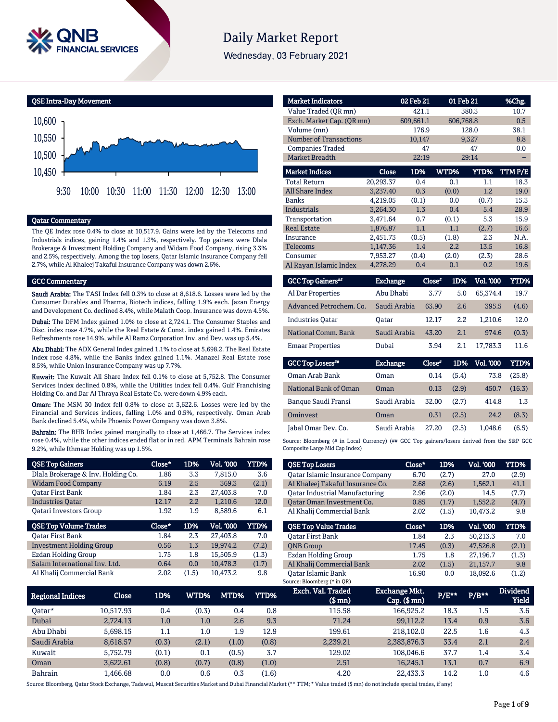

# **Daily Market Report**

Wednesday, 03 February 2021

QSE Intra-Day Movement



#### Qatar Commentary

The QE Index rose 0.4% to close at 10,517.9. Gains were led by the Telecoms and Industrials indices, gaining 1.4% and 1.3%, respectively. Top gainers were Dlala Brokerage & Investment Holding Company and Widam Food Company, rising 3.3% and 2.5%, respectively. Among the top losers, Qatar Islamic Insurance Company fell 2.7%, while Al Khaleej Takaful Insurance Company was down 2.6%.

#### GCC Commentary

Saudi Arabia: The TASI Index fell 0.3% to close at 8,618.6. Losses were led by the Consumer Durables and Pharma, Biotech indices, falling 1.9% each. Jazan Energy and Development Co. declined 8.4%, while Malath Coop. Insurance was down 4.5%.

Dubai: The DFM Index gained 1.0% to close at 2,724.1. The Consumer Staples and Disc. index rose 4.7%, while the Real Estate & Const. index gained 1.4%. Emirates Refreshments rose 14.9%, while Al Ramz Corporation Inv. and Dev. was up 5.4%.

Abu Dhabi: The ADX General Index gained 1.1% to close at 5,698.2. The Real Estate index rose 4.8%, while the Banks index gained 1.1%. Manazel Real Estate rose 8.5%, while Union Insurance Company was up 7.7%.

Kuwait: The Kuwait All Share Index fell 0.1% to close at 5,752.8. The Consumer Services index declined 0.8%, while the Utilities index fell 0.4%. Gulf Franchising Holding Co. and Dar Al Thraya Real Estate Co. were down 4.9% each.

Oman: The MSM 30 Index fell 0.8% to close at 3,622.6. Losses were led by the Financial and Services indices, falling 1.0% and 0.5%, respectively. Oman Arab Bank declined 5.4%, while Phoenix Power Company was down 3.8%.

Bahrain: The BHB Index gained marginally to close at 1,466.7. The Services index rose 0.4%, while the other indices ended flat or in red. APM Terminals Bahrain rose 9.2%, while Ithmaar Holding was up 1.5%.

| <b>QSE Top Gainers</b>             | Close* | 1D% | Vol. '000        | <b>YTD%</b> |
|------------------------------------|--------|-----|------------------|-------------|
| Dlala Brokerage & Inv. Holding Co. | 1.86   | 3.3 | 7.815.0          | 3.6         |
| <b>Widam Food Company</b>          | 6.19   | 2.5 | 369.3            | (2.1)       |
| <b>Oatar First Bank</b>            | 1.84   | 2.3 | 27,403.8         | 7.0         |
| <b>Industries Oatar</b>            | 12.17  | 2.2 | 1,210.6          | 12.0        |
| <b>Oatari Investors Group</b>      | 1.92   | 1.9 | 8,589.6          | 6.1         |
|                                    |        |     |                  |             |
| <b>QSE Top Volume Trades</b>       | Close* | 1D% | <b>Vol. '000</b> | YTD%        |
| Oatar First Bank                   | 1.84   | 2.3 | 27,403.8         | 7.0         |
| <b>Investment Holding Group</b>    | 0.56   | 1.3 | 19,974.2         | (7.2)       |
| <b>Ezdan Holding Group</b>         | 1.75   | 1.8 | 15.505.9         | (1.3)       |
| Salam International Inv. Ltd.      | 0.64   | 0.0 | 10,478.3         | (1.7)       |

| <b>Market Indicators</b>             |                 | 02 Feb 21 | 01 Feb 21   |                  | %Chg.       |
|--------------------------------------|-----------------|-----------|-------------|------------------|-------------|
| Value Traded (OR mn)                 |                 | 421.1     |             | 380.3            | 10.7        |
| Exch. Market Cap. (QR mn)            |                 | 609,661.1 | 606,768.8   |                  | 0.5         |
| Volume (mn)                          |                 | 176.9     |             | 128.0            | 38.1        |
| <b>Number of Transactions</b>        |                 | 10,147    |             | 9,327            | 8.8         |
| <b>Companies Traded</b>              |                 | 47        |             | 47               | 0.0         |
| <b>Market Breadth</b>                |                 | 22:19     |             | 29:14            |             |
| <b>Market Indices</b>                | Close           | 1D%       | WTD%        | YTD%             | TTM P/E     |
| <b>Total Return</b>                  | 20,293.37       | 0.4       | 0.1         | 1.1              | 18.3        |
| <b>All Share Index</b>               | 3,237.40        | 0.3       | (0.0)       | 1.2              | 19.0        |
| <b>Banks</b>                         | 4,219.05        | (0.1)     | 0.0         | (0.7)            | 15.3        |
| <b>Industrials</b>                   | 3,264.30        | 1.3       | 0.4         | 5.4              | 28.9        |
| Transportation                       | 3,471.64        | 0.7       | (0.1)       | 5.3              | 15.9        |
| <b>Real Estate</b>                   | 1,876.87        | 1.1       | 1.1         | (2.7)            | 16.6        |
| Insurance                            | 2,451.73        | (0.5)     | (1.8)       | 2.3              | N.A.        |
| <b>Telecoms</b>                      | 1,147.36        | 1.4       | 2.2         | 13.5             | 16.8        |
| Consumer                             | 7.953.27        | (0.4)     | (2.0)       | (2.3)            | 28.6        |
| Al Rayan Islamic Index               | 4,278.29        | 0.4       | 0.1         | 0.2              | 19.6        |
| <b>GCC Top Gainers</b> <sup>##</sup> | <b>Exchange</b> | Close*    | 1D%         | <b>Vol. '000</b> | <b>YTD%</b> |
| Al Dar Properties                    | Abu Dhabi       |           | 3.77<br>5.0 | 65,374.4         | 19.7        |

| Al Dar Properties       | Abu Dhabi    | 3.77  |     | 5.0 65.374.4 | 19.7  |
|-------------------------|--------------|-------|-----|--------------|-------|
| Advanced Petrochem. Co. | Saudi Arabia | 63.90 | 2.6 | 395.5        | (4.6) |
| <b>Industries Oatar</b> | Oatar        | 12.17 | 2.2 | 1.210.6      | 12.0  |
| National Comm. Bank     | Saudi Arabia | 43.20 | 2.1 | 974.6        | (0.3) |
| <b>Emaar Properties</b> | Dubai        | 3.94  | 2.1 | 17.783.3     | 11.6  |

| <b>GCC Top Losers</b> | <b>Exchange</b> | Close* | 1D%   | Vol. '000 ' | YTD%   |
|-----------------------|-----------------|--------|-------|-------------|--------|
| Oman Arab Bank        | Oman            | 0.14   | (5.4) | 73.8        | (25.8) |
| National Bank of Oman | Oman            | 0.13   | (2.9) | 450.7       | (16.3) |
| Banque Saudi Fransi   | Saudi Arabia    | 32.00  | (2.7) | 414.8       | 1.3    |
| <b>Ominyest</b>       | Oman            | 0.31   | (2.5) | 24.2        | (8.3)  |
| Jabal Omar Dev. Co.   | Saudi Arabia    | 27.20  | (2.5) | 1.048.6     | (6.5)  |

Source: Bloomberg (# in Local Currency) (## GCC Top gainers/losers derived from the S&P GCC Composite Large Mid Cap Index)

| <b>QSE Top Losers</b>                  | Close* | 1D%   | <b>Vol. '000</b> | YTD%  |
|----------------------------------------|--------|-------|------------------|-------|
| <b>Qatar Islamic Insurance Company</b> | 6.70   | (2.7) | 27.0             | (2.9) |
| Al Khaleej Takaful Insurance Co.       | 2.68   | (2.6) | 1,562.1          | 41.1  |
| Oatar Industrial Manufacturing         | 2.96   | (2.0) | 14.5             | (7.7) |
| Oatar Oman Investment Co.              | 0.85   | (1.7) | 1.552.2          | (4.7) |
| Al Khalij Commercial Bank              | 2.02   | (1.5) | 10.473.2         | 9.8   |
|                                        |        |       |                  |       |
|                                        |        |       |                  |       |
| <b>OSE Top Value Trades</b>            | Close* | 1D%   | Val. '000        | YTD%  |
| <b>Oatar First Bank</b>                | 1.84   | 2.3   | 50.213.3         | 7.0   |
| <b>ONB</b> Group                       | 17.45  | (0.3) | 47.526.8         | (2.1) |
| Ezdan Holding Group                    | 1.75   | 1.8   | 27.196.7         | (1.3) |
| Al Khalij Commercial Bank              | 2.02   | (1.5) | 21,157.7         | 9.8   |

| <b>Regional Indices</b> | Close     | 1D%   | WTD%  | MTD%  | YTD%  | Exch. Val. Traded<br>$$$ mn $)$ | Exchange Mkt.'<br>$Cap.$ (\$ mn) | $P/E***$ | $P/B***$ | <b>Dividend</b><br><b>Yield</b> |
|-------------------------|-----------|-------|-------|-------|-------|---------------------------------|----------------------------------|----------|----------|---------------------------------|
| Oatar*                  | 10.517.93 | 0.4   | (0.3) | 0.4   | 0.8   | 115.58                          | 166,925.2                        | 18.3     | 1.5      | 3.6                             |
| Dubai                   | 2.724.13  | 1.0   | 1.0   | 2.6   | 9.3   | 71.24                           | 99.112.2                         | 13.4     | 0.9      | 3.6                             |
| Abu Dhabi               | 5.698.15  | 1.1   | 1.0   | 1.9   | 12.9  | 199.61                          | 218,102.0                        | 22.5     | 1.6      | 4.3                             |
| Saudi Arabia            | 8.618.57  | (0.3) | (2.1) | (1.0) | (0.8) | 2,239.21                        | 2,383,876.3                      | 33.4     | 2.1      | 2.4                             |
| Kuwait                  | 5.752.79  | (0.1) | 0.1   | (0.5) | 3.7   | 129.02                          | 108.046.6                        | 37.7     | 1.4      | 3.4                             |
| Oman                    | 3.622.61  | (0.8) | (0.7) | (0.8) | (1.0) | 2.51                            | 16.245.1                         | 13.1     | 0.7      | 6.9                             |
| <b>Bahrain</b>          | .466.68   | 0.0   | 0.6   | 0.3   | (1.6) | 4.20                            | 22.433.3                         | 14.2     | 1.0      | 4.6                             |

Source: Bloomberg, Qatar Stock Exchange, Tadawul, Muscat Securities Market and Dubai Financial Market (\*\* TTM; \* Value traded (\$ mn) do not include special trades, if any)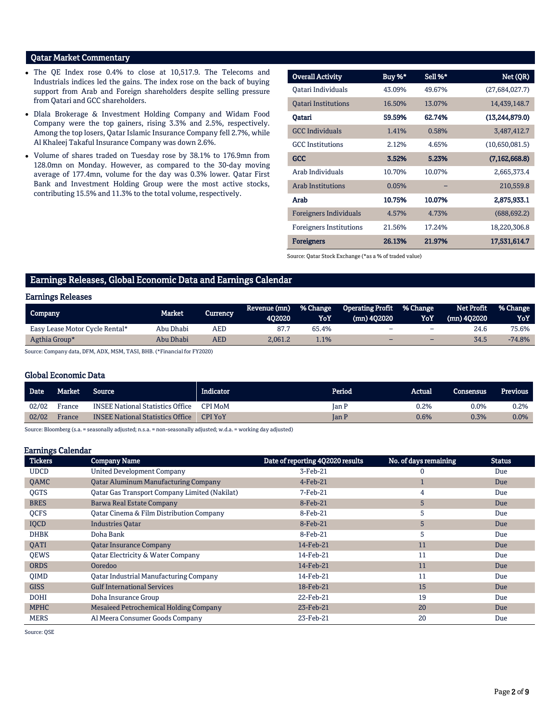# Qatar Market Commentary

- The QE Index rose 0.4% to close at 10,517.9. The Telecoms and Industrials indices led the gains. The index rose on the back of buying support from Arab and Foreign shareholders despite selling pressure from Qatari and GCC shareholders.
- Dlala Brokerage & Investment Holding Company and Widam Food Company were the top gainers, rising 3.3% and 2.5%, respectively. Among the top losers, Qatar Islamic Insurance Company fell 2.7%, while Al Khaleej Takaful Insurance Company was down 2.6%.
- Volume of shares traded on Tuesday rose by 38.1% to 176.9mn from 128.0mn on Monday. However, as compared to the 30-day moving average of 177.4mn, volume for the day was 0.3% lower. Qatar First Bank and Investment Holding Group were the most active stocks, contributing 15.5% and 11.3% to the total volume, respectively.

| <b>Overall Activity</b>        | Buy %* | Sell %* | Net (QR)        |
|--------------------------------|--------|---------|-----------------|
| Oatari Individuals             | 43.09% | 49.67%  | (27,684,027.7)  |
| <b>Oatari Institutions</b>     | 16.50% | 13.07%  | 14,439,148.7    |
| Qatari                         | 59.59% | 62.74%  | (13,244,879.0)  |
| <b>GCC</b> Individuals         | 1.41%  | 0.58%   | 3,487,412.7     |
| <b>GCC</b> Institutions        | 2.12%  | 4.65%   | (10,650,081.5)  |
| <b>GCC</b>                     | 3.52%  | 5.23%   | (7, 162, 668.8) |
| Arab Individuals               | 10.70% | 10.07%  | 2,665,373.4     |
| <b>Arab Institutions</b>       | 0.05%  |         | 210,559.8       |
| Arab                           | 10.75% | 10.07%  | 2,875,933.1     |
| <b>Foreigners Individuals</b>  | 4.57%  | 4.73%   | (688, 692.2)    |
| <b>Foreigners Institutions</b> | 21.56% | 17.24%  | 18,220,306.8    |
| <b>Foreigners</b>              | 26.13% | 21.97%  | 17,531,614.7    |

Source: Qatar Stock Exchange (\*as a % of traded value)

# Earnings Releases, Global Economic Data and Earnings Calendar

#### Earnings Releases

| Company                        | <b>Market</b> | Currency | Revenue (mn)<br>402020 | % Change<br>YoY | <b>Operating Profit</b><br>(mn) 402020 | <b>% Change</b><br>YoY   | Net Profit<br>$(mn)$ 402020 | <b>1% Change</b><br>YoY |
|--------------------------------|---------------|----------|------------------------|-----------------|----------------------------------------|--------------------------|-----------------------------|-------------------------|
| Easy Lease Motor Cycle Rental* | Abu Dhabi     | AED      | 87.7                   | 65.4%           | -                                      | $\overline{\phantom{0}}$ | 24.6                        | 75.6%                   |
| Agthia Group*                  | Abu Dhabi     | AED      | 2.061.2                | 1.1%            | $\sim$                                 | -                        | 34.5                        | $-74.8%$                |

Source: Company data, DFM, ADX, MSM, TASI, BHB. (\*Financial for FY2020)

### Global Economic Data

| <b>Date</b> | <b>Market</b> | <b>Source</b>                           | Indicator.     | Period | Actual  | <b>Consensus</b> | <b>Previous</b> |
|-------------|---------------|-----------------------------------------|----------------|--------|---------|------------------|-----------------|
| 02/02       | France        | <b>INSEE National Statistics Office</b> | <b>CPI MoM</b> | Ian P  | $0.2\%$ | 0.0%             | 0.2%            |
| 02/02       | France        | <b>INSEE National Statistics Office</b> | <b>CPI YoY</b> | Ian P  | 0.6%    | 0.3%             | 0.0%            |
|             |               |                                         |                |        |         |                  |                 |

Source: Bloomberg (s.a. = seasonally adjusted; n.s.a. = non-seasonally adjusted; w.d.a. = working day adjusted)

#### Earnings Calendar

| <b>Tickers</b> | <b>Company Name</b>                                  | Date of reporting 4Q2020 results | No. of days remaining | <b>Status</b> |
|----------------|------------------------------------------------------|----------------------------------|-----------------------|---------------|
| <b>UDCD</b>    | <b>United Development Company</b>                    | 3-Feb-21                         |                       | Due           |
| QAMC           | <b>Qatar Aluminum Manufacturing Company</b>          | $4$ -Feb-21                      |                       | Due           |
| <b>OGTS</b>    | <b>Qatar Gas Transport Company Limited (Nakilat)</b> | 7-Feb-21                         | 4                     | Due           |
| <b>BRES</b>    | Barwa Real Estate Company                            | 8-Feb-21                         | 5                     | <b>Due</b>    |
| <b>OCFS</b>    | Oatar Cinema & Film Distribution Company             | 8-Feb-21                         | 5                     | Due           |
| IQCD           | <b>Industries Qatar</b>                              | 8-Feb-21                         | 5                     | Due           |
| <b>DHBK</b>    | Doha Bank                                            | 8-Feb-21                         | 5                     | Due           |
| <b>OATI</b>    | <b>Qatar Insurance Company</b>                       | 14-Feb-21                        | 11                    | Due           |
| <b>OEWS</b>    | Qatar Electricity & Water Company                    | 14-Feb-21                        | 11                    | Due           |
| <b>ORDS</b>    | Ooredoo                                              | 14-Feb-21                        | 11                    | Due           |
| <b>OIMD</b>    | <b>Qatar Industrial Manufacturing Company</b>        | 14-Feb-21                        | 11                    | Due           |
| <b>GISS</b>    | <b>Gulf International Services</b>                   | 18-Feb-21                        | 15                    | Due           |
| <b>DOHI</b>    | Doha Insurance Group                                 | 22-Feb-21                        | 19                    | Due           |
| <b>MPHC</b>    | Mesaieed Petrochemical Holding Company               | 23-Feb-21                        | 20                    | Due           |
| <b>MERS</b>    | Al Meera Consumer Goods Company                      | 23-Feb-21                        | 20                    | Due           |

Source: QSE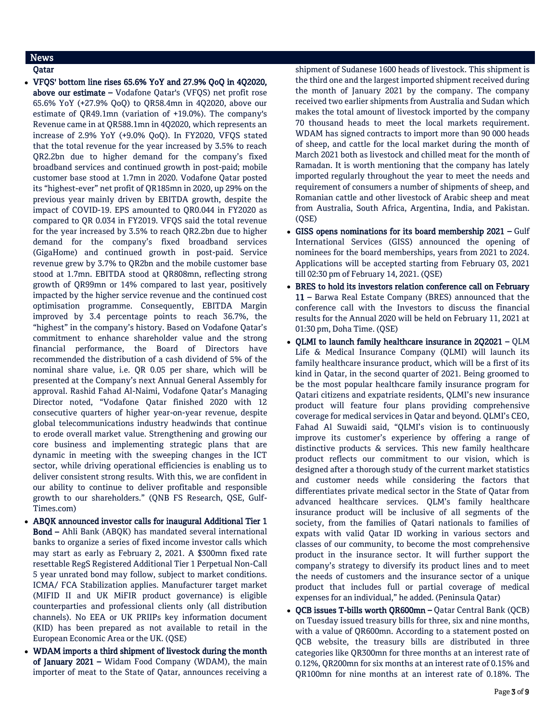# News

### Qatar

 VFQS' bottom line rises 65.6% YoY and 27.9% QoQ in 4Q2020, above our estimate – Vodafone Qatar's (VFQS) net profit rose 65.6% YoY (+27.9% QoQ) to QR58.4mn in 4Q2020, above our estimate of QR49.1mn (variation of +19.0%). The company's Revenue came in at QR588.1mn in 4Q2020, which represents an increase of 2.9% YoY (+9.0% QoQ). In FY2020, VFQS stated that the total revenue for the year increased by 3.5% to reach QR2.2bn due to higher demand for the company's fixed broadband services and continued growth in post-paid; mobile customer base stood at 1.7mn in 2020. Vodafone Qatar posted its "highest-ever" net profit of QR185mn in 2020, up 29% on the previous year mainly driven by EBITDA growth, despite the impact of COVID-19. EPS amounted to QR0.044 in FY2020 as compared to QR 0.034 in FY2019. VFQS said the total revenue for the year increased by 3.5% to reach QR2.2bn due to higher demand for the company's fixed broadband services (GigaHome) and continued growth in post-paid. Service revenue grew by 3.7% to QR2bn and the mobile customer base stood at 1.7mn. EBITDA stood at QR808mn, reflecting strong growth of QR99mn or 14% compared to last year, positively impacted by the higher service revenue and the continued cost optimisation programme. Consequently, EBITDA Margin improved by 3.4 percentage points to reach 36.7%, the "highest" in the company's history. Based on Vodafone Qatar's commitment to enhance shareholder value and the strong financial performance, the Board of Directors have recommended the distribution of a cash dividend of 5% of the nominal share value, i.e. QR 0.05 per share, which will be presented at the Company's next Annual General Assembly for approval. Rashid Fahad Al-Naimi, Vodafone Qatar's Managing Director noted, "Vodafone Qatar finished 2020 with 12 consecutive quarters of higher year-on-year revenue, despite global telecommunications industry headwinds that continue to erode overall market value. Strengthening and growing our core business and implementing strategic plans that are dynamic in meeting with the sweeping changes in the ICT sector, while driving operational efficiencies is enabling us to deliver consistent strong results. With this, we are confident in our ability to continue to deliver profitable and responsible growth to our shareholders." (QNB FS Research, QSE, Gulf-Times.com)

- ABQK announced investor calls for inaugural Additional Tier 1 Bond – Ahli Bank (ABQK) has mandated several international banks to organize a series of fixed income investor calls which may start as early as February 2, 2021. A \$300mn fixed rate resettable RegS Registered Additional Tier 1 Perpetual Non-Call 5 year unrated bond may follow, subject to market conditions. ICMA/ FCA Stabilization applies. Manufacturer target market (MIFID II and UK MiFIR product governance) is eligible counterparties and professional clients only (all distribution channels). No EEA or UK PRIIPs key information document (KID) has been prepared as not available to retail in the European Economic Area or the UK. (QSE)
- WDAM imports a third shipment of livestock during the month of January 2021 – Widam Food Company (WDAM), the main importer of meat to the State of Qatar, announces receiving a

shipment of Sudanese 1600 heads of livestock. This shipment is the third one and the largest imported shipment received during the month of January 2021 by the company. The company received two earlier shipments from Australia and Sudan which makes the total amount of livestock imported by the company 70 thousand heads to meet the local markets requirement. WDAM has signed contracts to import more than 90 000 heads of sheep, and cattle for the local market during the month of March 2021 both as livestock and chilled meat for the month of Ramadan. It is worth mentioning that the company has lately imported regularly throughout the year to meet the needs and requirement of consumers a number of shipments of sheep, and Romanian cattle and other livestock of Arabic sheep and meat from Australia, South Africa, Argentina, India, and Pakistan. (QSE)

- GISS opens nominations for its board membership 2021 Gulf International Services (GISS) announced the opening of nominees for the board memberships, years from 2021 to 2024. Applications will be accepted starting from February 03, 2021 till 02:30 pm of February 14, 2021. (QSE)
- BRES to hold its investors relation conference call on February 11 – Barwa Real Estate Company (BRES) announced that the conference call with the Investors to discuss the financial results for the Annual 2020 will be held on February 11, 2021 at 01:30 pm, Doha Time. (QSE)
- QLMI to launch family healthcare insurance in 2Q2021 QLM Life & Medical Insurance Company (QLMI) will launch its family healthcare insurance product, which will be a first of its kind in Qatar, in the second quarter of 2021. Being groomed to be the most popular healthcare family insurance program for Qatari citizens and expatriate residents, QLMI's new insurance product will feature four plans providing comprehensive coverage for medical services in Qatar and beyond. QLMI's CEO, Fahad Al Suwaidi said, "QLMI's vision is to continuously improve its customer's experience by offering a range of distinctive products & services. This new family healthcare product reflects our commitment to our vision, which is designed after a thorough study of the current market statistics and customer needs while considering the factors that differentiates private medical sector in the State of Qatar from advanced healthcare services. QLM's family healthcare insurance product will be inclusive of all segments of the society, from the families of Qatari nationals to families of expats with valid Qatar ID working in various sectors and classes of our community, to become the most comprehensive product in the insurance sector. It will further support the company's strategy to diversify its product lines and to meet the needs of customers and the insurance sector of a unique product that includes full or partial coverage of medical expenses for an individual," he added. (Peninsula Qatar)
- QCB issues T-bills worth QR600mn Qatar Central Bank (QCB) on Tuesday issued treasury bills for three, six and nine months, with a value of QR600mn. According to a statement posted on QCB website, the treasury bills are distributed in three categories like QR300mn for three months at an interest rate of 0.12%, QR200mn for six months at an interest rate of 0.15% and QR100mn for nine months at an interest rate of 0.18%. The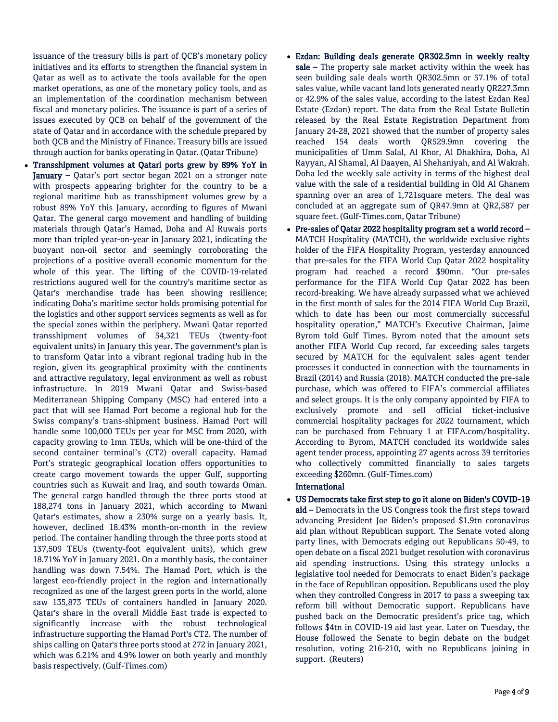issuance of the treasury bills is part of QCB's monetary policy initiatives and its efforts to strengthen the financial system in Qatar as well as to activate the tools available for the open market operations, as one of the monetary policy tools, and as an implementation of the coordination mechanism between fiscal and monetary policies. The issuance is part of a series of issues executed by QCB on behalf of the government of the state of Qatar and in accordance with the schedule prepared by both QCB and the Ministry of Finance. Treasury bills are issued through auction for banks operating in Qatar. (Qatar Tribune)

- Transshipment volumes at Qatari ports grew by 89% YoY in January – Qatar's port sector began 2021 on a stronger note with prospects appearing brighter for the country to be a regional maritime hub as transshipment volumes grew by a robust 89% YoY this January, according to figures of Mwani Qatar. The general cargo movement and handling of building materials through Qatar's Hamad, Doha and Al Ruwais ports more than tripled year-on-year in January 2021, indicating the buoyant non-oil sector and seemingly corroborating the projections of a positive overall economic momentum for the whole of this year. The lifting of the COVID-19-related restrictions augured well for the country's maritime sector as Qatar's merchandise trade has been showing resilience; indicating Doha's maritime sector holds promising potential for the logistics and other support services segments as well as for the special zones within the periphery. Mwani Qatar reported transshipment volumes of 54,321 TEUs (twenty-foot equivalent units) in January this year. The government's plan is to transform Qatar into a vibrant regional trading hub in the region, given its geographical proximity with the continents and attractive regulatory, legal environment as well as robust infrastructure. In 2019 Mwani Qatar and Swiss-based Mediterranean Shipping Company (MSC) had entered into a pact that will see Hamad Port become a regional hub for the Swiss company's trans-shipment business. Hamad Port will handle some 100,000 TEUs per year for MSC from 2020, with capacity growing to 1mn TEUs, which will be one-third of the second container terminal's (CT2) overall capacity. Hamad Port's strategic geographical location offers opportunities to create cargo movement towards the upper Gulf, supporting countries such as Kuwait and Iraq, and south towards Oman. The general cargo handled through the three ports stood at 188,274 tons in January 2021, which according to Mwani Qatar's estimates, show a 230% surge on a yearly basis. It, however, declined 18.43% month-on-month in the review period. The container handling through the three ports stood at 137,509 TEUs (twenty-foot equivalent units), which grew 18.71% YoY in January 2021. On a monthly basis, the container handling was down 7.54%. The Hamad Port, which is the largest eco-friendly project in the region and internationally recognized as one of the largest green ports in the world, alone saw 135,873 TEUs of containers handled in January 2020. Qatar's share in the overall Middle East trade is expected to significantly increase with the robust technological infrastructure supporting the Hamad Port's CT2. The number of ships calling on Qatar's three ports stood at 272 in January 2021, which was 6.21% and 4.9% lower on both yearly and monthly basis respectively. (Gulf-Times.com)
- Ezdan: Building deals generate QR302.5mn in weekly realty sale – The property sale market activity within the week has seen building sale deals worth QR302.5mn or 57.1% of total sales value, while vacant land lots generated nearly QR227.3mn or 42.9% of the sales value, according to the latest Ezdan Real Estate (Ezdan) report. The data from the Real Estate Bulletin released by the Real Estate Registration Department from January 24-28, 2021 showed that the number of property sales reached 154 deals worth QR529.9mn covering the municipalities of Umm Salal, Al Khor, Al Dhakhira, Doha, Al Rayyan, Al Shamal, Al Daayen, Al Shehaniyah, and Al Wakrah. Doha led the weekly sale activity in terms of the highest deal value with the sale of a residential building in Old Al Ghanem spanning over an area of 1,721square meters. The deal was concluded at an aggregate sum of QR47.9mn at QR2,587 per square feet. (Gulf-Times.com, Qatar Tribune)
- Pre-sales of Qatar 2022 hospitality program set a world record MATCH Hospitality (MATCH), the worldwide exclusive rights holder of the FIFA Hospitality Program, yesterday announced that pre-sales for the FIFA World Cup Qatar 2022 hospitality program had reached a record \$90mn. "Our pre-sales performance for the FIFA World Cup Qatar 2022 has been record-breaking. We have already surpassed what we achieved in the first month of sales for the 2014 FIFA World Cup Brazil, which to date has been our most commercially successful hospitality operation," MATCH's Executive Chairman, Jaime Byrom told Gulf Times. Byrom noted that the amount sets another FIFA World Cup record, far exceeding sales targets secured by MATCH for the equivalent sales agent tender processes it conducted in connection with the tournaments in Brazil (2014) and Russia (2018). MATCH conducted the pre-sale purchase, which was offered to FIFA's commercial affiliates and select groups. It is the only company appointed by FIFA to exclusively promote and sell official ticket-inclusive commercial hospitality packages for 2022 tournament, which can be purchased from February 1 at FIFA.com/hospitality. According to Byrom, MATCH concluded its worldwide sales agent tender process, appointing 27 agents across 39 territories who collectively committed financially to sales targets exceeding \$260mn. (Gulf-Times.com)

## International

### US Democrats take first step to go it alone on Biden's COVID-19

aid – Democrats in the US Congress took the first steps toward advancing President Joe Biden's proposed \$1.9tn coronavirus aid plan without Republican support. The Senate voted along party lines, with Democrats edging out Republicans 50-49, to open debate on a fiscal 2021 budget resolution with coronavirus aid spending instructions. Using this strategy unlocks a legislative tool needed for Democrats to enact Biden's package in the face of Republican opposition. Republicans used the ploy when they controlled Congress in 2017 to pass a sweeping tax reform bill without Democratic support. Republicans have pushed back on the Democratic president's price tag, which follows \$4tn in COVID-19 aid last year. Later on Tuesday, the House followed the Senate to begin debate on the budget resolution, voting 216-210, with no Republicans joining in support. (Reuters)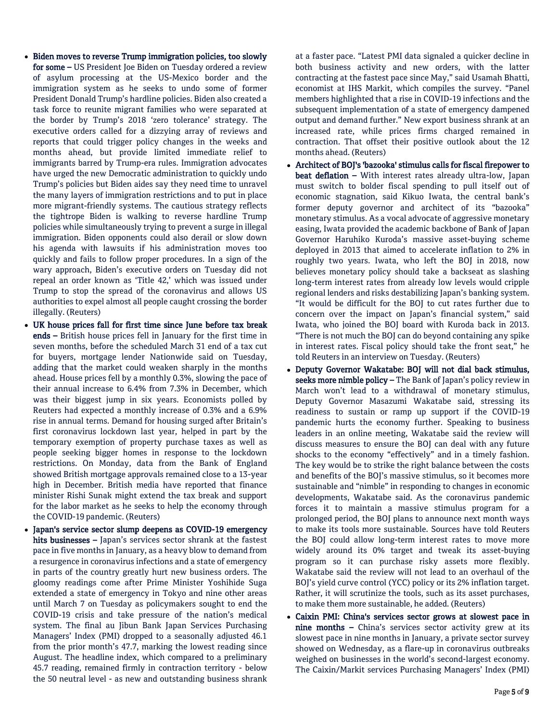- Biden moves to reverse Trump immigration policies, too slowly for some – US President Joe Biden on Tuesday ordered a review of asylum processing at the US-Mexico border and the immigration system as he seeks to undo some of former President Donald Trump's hardline policies. Biden also created a task force to reunite migrant families who were separated at the border by Trump's 2018 'zero tolerance' strategy. The executive orders called for a dizzying array of reviews and reports that could trigger policy changes in the weeks and months ahead, but provide limited immediate relief to immigrants barred by Trump-era rules. Immigration advocates have urged the new Democratic administration to quickly undo Trump's policies but Biden aides say they need time to unravel the many layers of immigration restrictions and to put in place more migrant-friendly systems. The cautious strategy reflects the tightrope Biden is walking to reverse hardline Trump policies while simultaneously trying to prevent a surge in illegal immigration. Biden opponents could also derail or slow down his agenda with lawsuits if his administration moves too quickly and fails to follow proper procedures. In a sign of the wary approach, Biden's executive orders on Tuesday did not repeal an order known as 'Title 42,' which was issued under Trump to stop the spread of the coronavirus and allows US authorities to expel almost all people caught crossing the border illegally. (Reuters)
- UK house prices fall for first time since June before tax break ends – British house prices fell in January for the first time in seven months, before the scheduled March 31 end of a tax cut for buyers, mortgage lender Nationwide said on Tuesday, adding that the market could weaken sharply in the months ahead. House prices fell by a monthly 0.3%, slowing the pace of their annual increase to 6.4% from 7.3% in December, which was their biggest jump in six years. Economists polled by Reuters had expected a monthly increase of 0.3% and a 6.9% rise in annual terms. Demand for housing surged after Britain's first coronavirus lockdown last year, helped in part by the temporary exemption of property purchase taxes as well as people seeking bigger homes in response to the lockdown restrictions. On Monday, data from the Bank of England showed British mortgage approvals remained close to a 13-year high in December. British media have reported that finance minister Rishi Sunak might extend the tax break and support for the labor market as he seeks to help the economy through the COVID-19 pandemic. (Reuters)
- Japan's service sector slump deepens as COVID-19 emergency hits businesses – Japan's services sector shrank at the fastest pace in five months in January, as a heavy blow to demand from a resurgence in coronavirus infections and a state of emergency in parts of the country greatly hurt new business orders. The gloomy readings come after Prime Minister Yoshihide Suga extended a state of emergency in Tokyo and nine other areas until March 7 on Tuesday as policymakers sought to end the COVID-19 crisis and take pressure of the nation's medical system. The final au Jibun Bank Japan Services Purchasing Managers' Index (PMI) dropped to a seasonally adjusted 46.1 from the prior month's 47.7, marking the lowest reading since August. The headline index, which compared to a preliminary 45.7 reading, remained firmly in contraction territory - below the 50 neutral level - as new and outstanding business shrank

at a faster pace. "Latest PMI data signaled a quicker decline in both business activity and new orders, with the latter contracting at the fastest pace since May," said Usamah Bhatti, economist at IHS Markit, which compiles the survey. "Panel members highlighted that a rise in COVID-19 infections and the subsequent implementation of a state of emergency dampened output and demand further." New export business shrank at an increased rate, while prices firms charged remained in contraction. That offset their positive outlook about the 12 months ahead. (Reuters)

- Architect of BOJ's 'bazooka' stimulus calls for fiscal firepower to beat deflation – With interest rates already ultra-low, Japan must switch to bolder fiscal spending to pull itself out of economic stagnation, said Kikuo Iwata, the central bank's former deputy governor and architect of its "bazooka" monetary stimulus. As a vocal advocate of aggressive monetary easing, Iwata provided the academic backbone of Bank of Japan Governor Haruhiko Kuroda's massive asset-buying scheme deployed in 2013 that aimed to accelerate inflation to 2% in roughly two years. Iwata, who left the BOJ in 2018, now believes monetary policy should take a backseat as slashing long-term interest rates from already low levels would cripple regional lenders and risks destabilizing Japan's banking system. "It would be difficult for the BOJ to cut rates further due to concern over the impact on Japan's financial system," said Iwata, who joined the BOJ board with Kuroda back in 2013. "There is not much the BOJ can do beyond containing any spike in interest rates. Fiscal policy should take the front seat," he told Reuters in an interview on Tuesday. (Reuters)
- Deputy Governor Wakatabe: BOJ will not dial back stimulus, seeks more nimble policy – The Bank of Japan's policy review in March won't lead to a withdrawal of monetary stimulus, Deputy Governor Masazumi Wakatabe said, stressing its readiness to sustain or ramp up support if the COVID-19 pandemic hurts the economy further. Speaking to business leaders in an online meeting, Wakatabe said the review will discuss measures to ensure the BOJ can deal with any future shocks to the economy "effectively" and in a timely fashion. The key would be to strike the right balance between the costs and benefits of the BOJ's massive stimulus, so it becomes more sustainable and "nimble" in responding to changes in economic developments, Wakatabe said. As the coronavirus pandemic forces it to maintain a massive stimulus program for a prolonged period, the BOJ plans to announce next month ways to make its tools more sustainable. Sources have told Reuters the BOJ could allow long-term interest rates to move more widely around its 0% target and tweak its asset-buying program so it can purchase risky assets more flexibly. Wakatabe said the review will not lead to an overhaul of the BOJ's yield curve control (YCC) policy or its 2% inflation target. Rather, it will scrutinize the tools, such as its asset purchases, to make them more sustainable, he added. (Reuters)
- Caixin PMI: China's services sector grows at slowest pace in nine months – China's services sector activity grew at its slowest pace in nine months in January, a private sector survey showed on Wednesday, as a flare-up in coronavirus outbreaks weighed on businesses in the world's second-largest economy. The Caixin/Markit services Purchasing Managers' Index (PMI)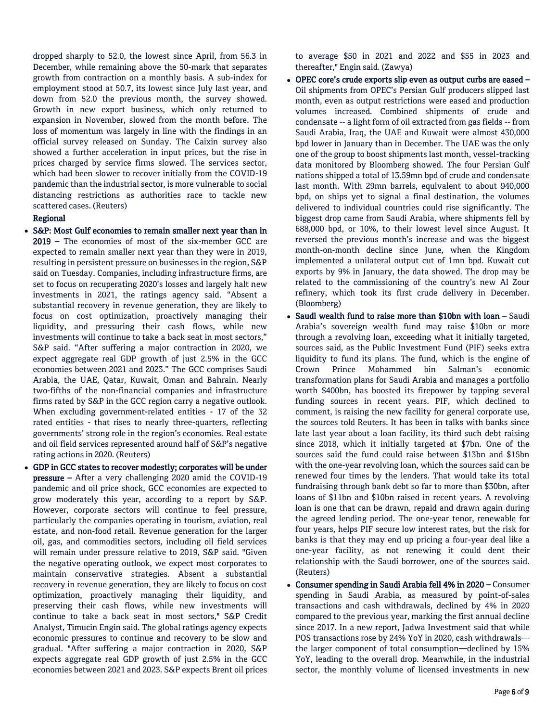dropped sharply to 52.0, the lowest since April, from 56.3 in December, while remaining above the 50-mark that separates growth from contraction on a monthly basis. A sub-index for employment stood at 50.7, its lowest since July last year, and down from 52.0 the previous month, the survey showed. Growth in new export business, which only returned to expansion in November, slowed from the month before. The loss of momentum was largely in line with the findings in an official survey released on Sunday. The Caixin survey also showed a further acceleration in input prices, but the rise in prices charged by service firms slowed. The services sector, which had been slower to recover initially from the COVID-19 pandemic than the industrial sector, is more vulnerable to social distancing restrictions as authorities race to tackle new scattered cases. (Reuters)

# Regional

- S&P: Most Gulf economies to remain smaller next year than in 2019 – The economies of most of the six-member GCC are expected to remain smaller next year than they were in 2019, resulting in persistent pressure on businesses in the region, S&P said on Tuesday. Companies, including infrastructure firms, are set to focus on recuperating 2020's losses and largely halt new investments in 2021, the ratings agency said. "Absent a substantial recovery in revenue generation, they are likely to focus on cost optimization, proactively managing their liquidity, and pressuring their cash flows, while new investments will continue to take a back seat in most sectors," S&P said. "After suffering a major contraction in 2020, we expect aggregate real GDP growth of just 2.5% in the GCC economies between 2021 and 2023." The GCC comprises Saudi Arabia, the UAE, Qatar, Kuwait, Oman and Bahrain. Nearly two-fifths of the non-financial companies and infrastructure firms rated by S&P in the GCC region carry a negative outlook. When excluding government-related entities - 17 of the 32 rated entities - that rises to nearly three-quarters, reflecting governments' strong role in the region's economies. Real estate and oil field services represented around half of S&P's negative rating actions in 2020. (Reuters)
- GDP in GCC states to recover modestly; corporates will be under pressure – After a very challenging 2020 amid the COVID-19 pandemic and oil price shock, GCC economies are expected to grow moderately this year, according to a report by S&P. However, corporate sectors will continue to feel pressure, particularly the companies operating in tourism, aviation, real estate, and non-food retail. Revenue generation for the larger oil, gas, and commodities sectors, including oil field services will remain under pressure relative to 2019, S&P said. "Given the negative operating outlook, we expect most corporates to maintain conservative strategies. Absent a substantial recovery in revenue generation, they are likely to focus on cost optimization, proactively managing their liquidity, and preserving their cash flows, while new investments will continue to take a back seat in most sectors," S&P Credit Analyst, Timucin Engin said. The global ratings agency expects economic pressures to continue and recovery to be slow and gradual. "After suffering a major contraction in 2020, S&P expects aggregate real GDP growth of just 2.5% in the GCC economies between 2021 and 2023. S&P expects Brent oil prices

to average \$50 in 2021 and 2022 and \$55 in 2023 and thereafter," Engin said. (Zawya)

- OPEC core's crude exports slip even as output curbs are eased Oil shipments from OPEC's Persian Gulf producers slipped last month, even as output restrictions were eased and production volumes increased. Combined shipments of crude and condensate -- a light form of oil extracted from gas fields -- from Saudi Arabia, Iraq, the UAE and Kuwait were almost 430,000 bpd lower in January than in December. The UAE was the only one of the group to boost shipments last month, vessel-tracking data monitored by Bloomberg showed. The four Persian Gulf nations shipped a total of 13.59mn bpd of crude and condensate last month. With 29mn barrels, equivalent to about 940,000 bpd, on ships yet to signal a final destination, the volumes delivered to individual countries could rise significantly. The biggest drop came from Saudi Arabia, where shipments fell by 688,000 bpd, or 10%, to their lowest level since August. It reversed the previous month's increase and was the biggest month-on-month decline since June, when the Kingdom implemented a unilateral output cut of 1mn bpd. Kuwait cut exports by 9% in January, the data showed. The drop may be related to the commissioning of the country's new Al Zour refinery, which took its first crude delivery in December. (Bloomberg)
- Saudi wealth fund to raise more than \$10bn with loan Saudi Arabia's sovereign wealth fund may raise \$10bn or more through a revolving loan, exceeding what it initially targeted, sources said, as the Public Investment Fund (PIF) seeks extra liquidity to fund its plans. The fund, which is the engine of Crown Prince Mohammed bin Salman's economic transformation plans for Saudi Arabia and manages a portfolio worth \$400bn, has boosted its firepower by tapping several funding sources in recent years. PIF, which declined to comment, is raising the new facility for general corporate use, the sources told Reuters. It has been in talks with banks since late last year about a loan facility, its third such debt raising since 2018, which it initially targeted at \$7bn. One of the sources said the fund could raise between \$13bn and \$15bn with the one-year revolving loan, which the sources said can be renewed four times by the lenders. That would take its total fundraising through bank debt so far to more than \$30bn, after loans of \$11bn and \$10bn raised in recent years. A revolving loan is one that can be drawn, repaid and drawn again during the agreed lending period. The one-year tenor, renewable for four years, helps PIF secure low interest rates, but the risk for banks is that they may end up pricing a four-year deal like a one-year facility, as not renewing it could dent their relationship with the Saudi borrower, one of the sources said. (Reuters)
- Consumer spending in Saudi Arabia fell 4% in 2020 Consumer spending in Saudi Arabia, as measured by point-of-sales transactions and cash withdrawals, declined by 4% in 2020 compared to the previous year, marking the first annual decline since 2017. In a new report, Jadwa Investment said that while POS transactions rose by 24% YoY in 2020, cash withdrawals the larger component of total consumption—declined by 15% YoY, leading to the overall drop. Meanwhile, in the industrial sector, the monthly volume of licensed investments in new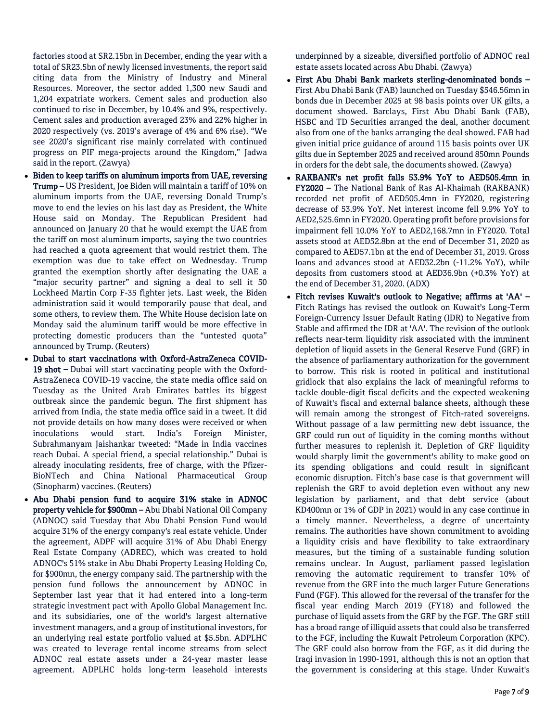factories stood at SR2.15bn in December, ending the year with a total of SR23.5bn of newly licensed investments, the report said citing data from the Ministry of Industry and Mineral Resources. Moreover, the sector added 1,300 new Saudi and 1,204 expatriate workers. Cement sales and production also continued to rise in December, by 10.4% and 9%, respectively. Cement sales and production averaged 23% and 22% higher in 2020 respectively (vs. 2019's average of 4% and 6% rise). "We see 2020's significant rise mainly correlated with continued progress on PIF mega-projects around the Kingdom," Jadwa said in the report. (Zawya)

- Biden to keep tariffs on aluminum imports from UAE, reversing Trump – US President, Joe Biden will maintain a tariff of 10% on aluminum imports from the UAE, reversing Donald Trump's move to end the levies on his last day as President, the White House said on Monday. The Republican President had announced on January 20 that he would exempt the UAE from the tariff on most aluminum imports, saying the two countries had reached a quota agreement that would restrict them. The exemption was due to take effect on Wednesday. Trump granted the exemption shortly after designating the UAE a "major security partner" and signing a deal to sell it 50 Lockheed Martin Corp F-35 fighter jets. Last week, the Biden administration said it would temporarily pause that deal, and some others, to review them. The White House decision late on Monday said the aluminum tariff would be more effective in protecting domestic producers than the "untested quota" announced by Trump. (Reuters)
- Dubai to start vaccinations with Oxford-AstraZeneca COVID-19 shot – Dubai will start vaccinating people with the Oxford-AstraZeneca COVID-19 vaccine, the state media office said on Tuesday as the United Arab Emirates battles its biggest outbreak since the pandemic begun. The first shipment has arrived from India, the state media office said in a tweet. It did not provide details on how many doses were received or when inoculations would start. India's Foreign Minister, Subrahmanyam Jaishankar tweeted: "Made in India vaccines reach Dubai. A special friend, a special relationship." Dubai is already inoculating residents, free of charge, with the Pfizer-BioNTech and China National Pharmaceutical Group (Sinopharm) vaccines. (Reuters)
- Abu Dhabi pension fund to acquire 31% stake in ADNOC property vehicle for \$900mn – Abu Dhabi National Oil Company (ADNOC) said Tuesday that Abu Dhabi Pension Fund would acquire 31% of the energy company's real estate vehicle. Under the agreement, ADPF will acquire 31% of Abu Dhabi Energy Real Estate Company (ADREC), which was created to hold ADNOC's 51% stake in Abu Dhabi Property Leasing Holding Co, for \$900mn, the energy company said. The partnership with the pension fund follows the announcement by ADNOC in September last year that it had entered into a long-term strategic investment pact with Apollo Global Management Inc. and its subsidiaries, one of the world's largest alternative investment managers, and a group of institutional investors, for an underlying real estate portfolio valued at \$5.5bn. ADPLHC was created to leverage rental income streams from select ADNOC real estate assets under a 24-year master lease agreement. ADPLHC holds long-term leasehold interests

underpinned by a sizeable, diversified portfolio of ADNOC real estate assets located across Abu Dhabi. (Zawya)

- First Abu Dhabi Bank markets sterling-denominated bonds First Abu Dhabi Bank (FAB) launched on Tuesday \$546.56mn in bonds due in December 2025 at 98 basis points over UK gilts, a document showed. Barclays, First Abu Dhabi Bank (FAB), HSBC and TD Securities arranged the deal, another document also from one of the banks arranging the deal showed. FAB had given initial price guidance of around 115 basis points over UK gilts due in September 2025 and received around 850mn Pounds in orders for the debt sale, the documents showed. (Zawya)
- RAKBANK's net profit falls 53.9% YoY to AED505.4mn in FY2020 – The National Bank of Ras Al-Khaimah (RAKBANK) recorded net profit of AED505.4mn in FY2020, registering decrease of 53.9% YoY. Net interest income fell 9.9% YoY to AED2,525.6mn in FY2020. Operating profit before provisions for impairment fell 10.0% YoY to AED2,168.7mn in FY2020. Total assets stood at AED52.8bn at the end of December 31, 2020 as compared to AED57.1bn at the end of December 31, 2019. Gross loans and advances stood at AED32.2bn (-11.2% YoY), while deposits from customers stood at AED36.9bn (+0.3% YoY) at the end of December 31, 2020. (ADX)
- Fitch revises Kuwait's outlook to Negative; affirms at 'AA' Fitch Ratings has revised the outlook on Kuwait's Long-Term Foreign-Currency Issuer Default Rating (IDR) to Negative from Stable and affirmed the IDR at 'AA'. The revision of the outlook reflects near-term liquidity risk associated with the imminent depletion of liquid assets in the General Reserve Fund (GRF) in the absence of parliamentary authorization for the government to borrow. This risk is rooted in political and institutional gridlock that also explains the lack of meaningful reforms to tackle double-digit fiscal deficits and the expected weakening of Kuwait's fiscal and external balance sheets, although these will remain among the strongest of Fitch-rated sovereigns. Without passage of a law permitting new debt issuance, the GRF could run out of liquidity in the coming months without further measures to replenish it. Depletion of GRF liquidity would sharply limit the government's ability to make good on its spending obligations and could result in significant economic disruption. Fitch's base case is that government will replenish the GRF to avoid depletion even without any new legislation by parliament, and that debt service (about KD400mn or 1% of GDP in 2021) would in any case continue in a timely manner. Nevertheless, a degree of uncertainty remains. The authorities have shown commitment to avoiding a liquidity crisis and have flexibility to take extraordinary measures, but the timing of a sustainable funding solution remains unclear. In August, parliament passed legislation removing the automatic requirement to transfer 10% of revenue from the GRF into the much larger Future Generations Fund (FGF). This allowed for the reversal of the transfer for the fiscal year ending March 2019 (FY18) and followed the purchase of liquid assets from the GRF by the FGF. The GRF still has a broad range of illiquid assets that could also be transferred to the FGF, including the Kuwait Petroleum Corporation (KPC). The GRF could also borrow from the FGF, as it did during the Iraqi invasion in 1990-1991, although this is not an option that the government is considering at this stage. Under Kuwait's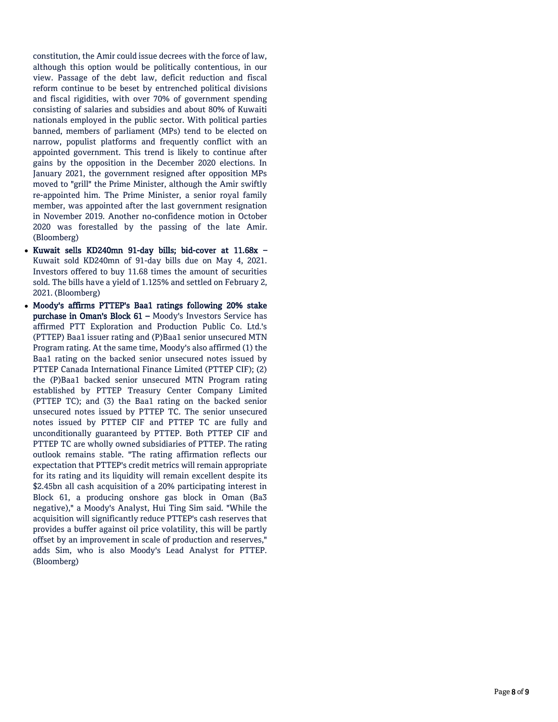constitution, the Amir could issue decrees with the force of law, although this option would be politically contentious, in our view. Passage of the debt law, deficit reduction and fiscal reform continue to be beset by entrenched political divisions and fiscal rigidities, with over 70% of government spending consisting of salaries and subsidies and about 80% of Kuwaiti nationals employed in the public sector. With political parties banned, members of parliament (MPs) tend to be elected on narrow, populist platforms and frequently conflict with an appointed government. This trend is likely to continue after gains by the opposition in the December 2020 elections. In January 2021, the government resigned after opposition MPs moved to "grill" the Prime Minister, although the Amir swiftly re -appointed him. The Prime Minister, a senior royal family member, was appointed after the last government resignation in November 2019. Another no -confidence motion in October 2020 was forestalled by the passing of the late Amir. (Bloomberg)

- Kuwait sells KD240mn 91-day bills; bid-cover at 11.68x -Kuwait sold KD240mn of 91 -day bills due on May 4, 2021. Investors offered to buy 11.68 times the amount of securities sold. The bills have a yield of 1.125% and settled on February 2, 2021. (Bloomberg)
- Moody's affirms PTTEP's Baa1 ratings following 20% stake purchase in Oman's Block 61 – Moody's Investors Service has affirmed PTT Exploration and Production Public Co. Ltd.'s (PTTEP) Baa1 issuer rating and (P)Baa1 senior unsecured MTN Program rating. At the same time, Moody's also affirmed (1) the Baa1 rating on the backed senior unsecured notes issued by PTTEP Canada International Finance Limited (PTTEP CIF); (2) the (P)Baa1 backed senior unsecured MTN Program rating established by PTTEP Treasury Center Company Limited (PTTEP TC); and (3) the Baa1 rating on the backed senior unsecured notes issued by PTTEP TC. The senior unsecured notes issued by PTTEP CIF and PTTEP TC are fully and unconditionally guaranteed by PTTEP. Both PTTEP CIF and PTTEP TC are wholly owned subsidiaries of PTTEP. The rating outlook remains stable. "The rating affirmation reflects our expectation that PTTEP's credit metrics will remain appropriate for its rating and its liquidity will remain excellent despite its \$2.45bn all cash acquisition of a 20% participating interest in Block 61, a producing onshore gas block in Oman (Ba3 negative)," a Moody's Analyst, Hui Ting Sim said. "While the acquisition will significantly reduce PTTEP's cash reserves that provides a buffer against oil price volatility, this will be partly offset by an improvement in scale of production and reserves," adds Sim, who is also Moody's Lead Analyst for PTTEP. (Bloomberg)